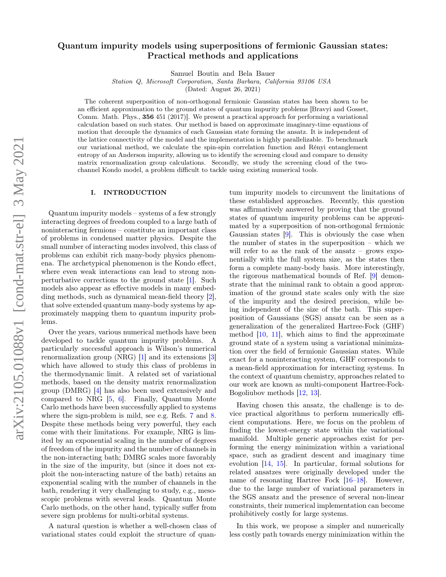# Quantum impurity models using superpositions of fermionic Gaussian states: Practical methods and applications

Samuel Boutin and Bela Bauer

Station Q, Microsoft Corporation, Santa Barbara, California 93106 USA

(Dated: August 26, 2021)

The coherent superposition of non-orthogonal fermionic Gaussian states has been shown to be an efficient approximation to the ground states of quantum impurity problems [Bravyi and Gosset, Comm. Math. Phys., 356 451 (2017)]. We present a practical approach for performing a variational calculation based on such states. Our method is based on approximate imaginary-time equations of motion that decouple the dynamics of each Gaussian state forming the ansatz. It is independent of the lattice connectivity of the model and the implementation is highly parallelizable. To benchmark our variational method, we calculate the spin-spin correlation function and Rényi entanglement entropy of an Anderson impurity, allowing us to identify the screening cloud and compare to density matrix renormalization group calculations. Secondly, we study the screening cloud of the twochannel Kondo model, a problem difficult to tackle using existing numerical tools.

# I. INTRODUCTION

Quantum impurity models – systems of a few strongly interacting degrees of freedom coupled to a large bath of noninteracting fermions – constitute an important class of problems in condensed matter physics. Despite the small number of interacting modes involved, this class of problems can exhibit rich many-body physics phenomena. The archetypical phenomenon is the Kondo effect, where even weak interactions can lead to strong nonperturbative corrections to the ground state [\[1\]](#page-13-0). Such models also appear as effective models in many embedding methods, such as dynamical mean-field theory [\[2\]](#page-13-1), that solve extended quantum many-body systems by approximately mapping them to quantum impurity problems.

Over the years, various numerical methods have been developed to tackle quantum impurity problems. A particularly successful approach is Wilson's numerical renormalization group (NRG) [\[1\]](#page-13-0) and its extensions [\[3\]](#page-13-2) which have allowed to study this class of problems in the thermodynamic limit. A related set of variational methods, based on the density matrix renormalization group (DMRG) [\[4\]](#page-13-3) has also been used extensively and compared to NRG [\[5,](#page-13-4) [6\]](#page-13-5). Finally, Quantum Monte Carlo methods have been successfully applied to systems where the sign-problem is mild, see e.g. Refs. [7](#page-14-0) and [8.](#page-14-1) Despite these methods being very powerful, they each come with their limitations. For example, NRG is limited by an exponential scaling in the number of degrees of freedom of the impurity and the number of channels in the non-interacting bath; DMRG scales more favorably in the size of the impurity, but (since it does not exploit the non-interacting nature of the bath) retains an exponential scaling with the number of channels in the bath, rendering it very challenging to study, e.g., mesoscopic problems with several leads. Quantum Monte Carlo methods, on the other hand, typically suffer from severe sign problems for multi-orbital systems.

A natural question is whether a well-chosen class of variational states could exploit the structure of quantum impurity models to circumvent the limitations of these established approaches. Recently, this question was affirmatively answered by proving that the ground states of quantum impurity problems can be approximated by a superposition of non-orthogonal fermionic Gaussian states [\[9\]](#page-14-2). This is obviously the case when the number of states in the superposition – which we will refer to as the rank of the ansatz – grows exponentially with the full system size, as the states then form a complete many-body basis. More interestingly, the rigorous mathematical bounds of Ref. [\[9\]](#page-14-2) demonstrate that the minimal rank to obtain a good approximation of the ground state scales only with the size of the impurity and the desired precision, while being independent of the size of the bath. This superposition of Gaussians (SGS) ansatz can be seen as a generalization of the generalized Hartree-Fock (GHF) method  $[10, 11]$  $[10, 11]$  $[10, 11]$ , which aims to find the approximate ground state of a system using a variational minimization over the field of fermionic Gaussian states. While exact for a noninteracting system, GHF corresponds to a mean-field approximation for interacting systems. In the context of quantum chemistry, approaches related to our work are known as multi-component Hartree-Fock-Bogoliubov methods [\[12,](#page-14-5) [13\]](#page-14-6).

Having chosen this ansatz, the challenge is to device practical algorithms to perform numerically efficient computations. Here, we focus on the problem of finding the lowest-energy state within the variational manifold. Multiple generic approaches exist for performing the energy minimization within a variational space, such as gradient descent and imaginary time evolution [\[14,](#page-14-7) [15\]](#page-14-8). In particular, formal solutions for related ansatzes were originally developed under the name of resonating Hartree Fock [\[16](#page-14-9)[–18\]](#page-14-10). However, due to the large number of variational parameters in the SGS ansatz and the presence of several non-linear constraints, their numerical implementation can become prohibitively costly for large systems.

In this work, we propose a simpler and numerically less costly path towards energy minimization within the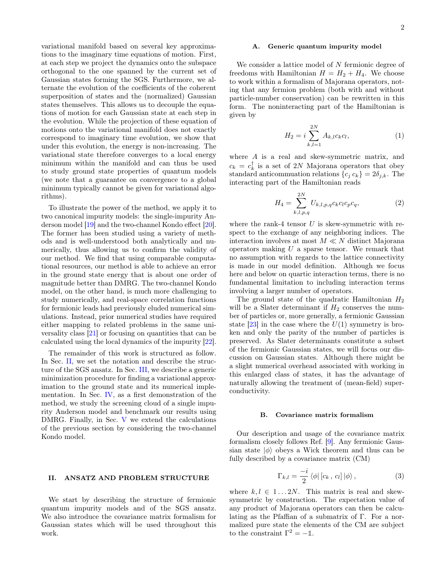variational manifold based on several key approximations to the imaginary time equations of motion. First, at each step we project the dynamics onto the subspace orthogonal to the one spanned by the current set of Gaussian states forming the SGS. Furthermore, we alternate the evolution of the coefficients of the coherent superposition of states and the (normalized) Gaussian states themselves. This allows us to decouple the equations of motion for each Gaussian state at each step in the evolution. While the projection of these equation of motions onto the variational manifold does not exactly correspond to imaginary time evolution, we show that under this evolution, the energy is non-increasing. The variational state therefore converges to a local energy minimum within the manifold and can thus be used to study ground state properties of quantum models (we note that a guarantee on convergence to a global minimum typically cannot be given for variational algorithms).

To illustrate the power of the method, we apply it to two canonical impurity models: the single-impurity Anderson model [\[19\]](#page-14-11) and the two-channel Kondo effect [\[20\]](#page-14-12). The former has been studied using a variety of methods and is well-understood both analytically and numerically, thus allowing us to confirm the validity of our method. We find that using comparable computational resources, our method is able to achieve an error in the ground state energy that is about one order of magnitude better than DMRG. The two-channel Kondo model, on the other hand, is much more challenging to study numerically, and real-space correlation functions for fermionic leads had previously eluded numerical simulations. Instead, prior numerical studies have required either mapping to related problems in the same universality class [\[21\]](#page-14-13) or focusing on quantities that can be calculated using the local dynamics of the impurity [\[22\]](#page-14-14).

The remainder of this work is structured as follow. In Sec. [II,](#page-1-0) we set the notation and describe the structure of the SGS ansatz. In Sec. [III,](#page-2-0) we describe a generic minimization procedure for finding a variational approximation to the ground state and its numerical implementation. In Sec. [IV,](#page-4-0) as a first demonstration of the method, we study the screening cloud of a single impurity Anderson model and benchmark our results using DMRG. Finally, in Sec. [V](#page-8-0) we extend the calculations of the previous section by considering the two-channel Kondo model.

# <span id="page-1-0"></span>II. ANSATZ AND PROBLEM STRUCTURE

We start by describing the structure of fermionic quantum impurity models and of the SGS ansatz. We also introduce the covariance matrix formalism for Gaussian states which will be used throughout this work.

## <span id="page-1-2"></span>A. Generic quantum impurity model

We consider a lattice model of N fermionic degree of freedoms with Hamiltonian  $H = H_2 + H_4$ . We choose to work within a formalism of Majorana operators, noting that any fermion problem (both with and without particle-number conservation) can be rewritten in this form. The noninteracting part of the Hamiltonian is given by

$$
H_2 = i \sum_{k,l=1}^{2N} A_{k,l} c_k c_l, \tag{1}
$$

where A is a real and skew-symmetric matrix, and  $c_k = c_k^{\dagger}$  is a set of 2N Majorana operators that obey standard anticommuation relations  ${c_j c_k} = 2\delta_{j,k}$ . The interacting part of the Hamiltonian reads

$$
H_4 = \sum_{k,l,p,q}^{2N} U_{k,l,p,q} c_k c_l c_p c_q,
$$
 (2)

where the rank-4 tensor  $U$  is skew-symmetric with respect to the exchange of any neighboring indices. The interaction involves at most  $M \ll N$  distinct Majorana operators making  $U$  a sparse tensor. We remark that no assumption with regards to the lattice connectivity is made in our model definition. Although we focus here and below on quartic interaction terms, there is no fundamental limitation to including interaction terms involving a larger number of operators.

The ground state of the quadratic Hamiltonian  $H_2$ will be a Slater determinant if  $H_2$  conserves the number of particles or, more generally, a fermionic Gaussian state  $[23]$  in the case where the  $U(1)$  symmetry is broken and only the parity of the number of particles is preserved. As Slater determinants constitute a subset of the fermionic Gaussian states, we will focus our discussion on Gaussian states. Although there might be a slight numerical overhead associated with working in this enlarged class of states, it has the advantage of naturally allowing the treatment of (mean-field) superconductivity.

#### B. Covariance matrix formalism

Our description and usage of the covariance matrix formalism closely follows Ref. [\[9\]](#page-14-2). Any fermionic Gaussian state  $|\phi\rangle$  obeys a Wick theorem and thus can be fully described by a covariance matrix (CM)

<span id="page-1-1"></span>
$$
\Gamma_{k,l} = \frac{-i}{2} \langle \phi | [c_k, c_l] | \phi \rangle, \qquad (3)
$$

where  $k, l \in 1...2N$ . This matrix is real and skewsymmetric by construction. The expectation value of any product of Majorana operators can then be calculating as the Pfaffian of a submatrix of Γ. For a normalized pure state the elements of the CM are subject to the constraint  $\Gamma^2 = -\mathbb{1}$ .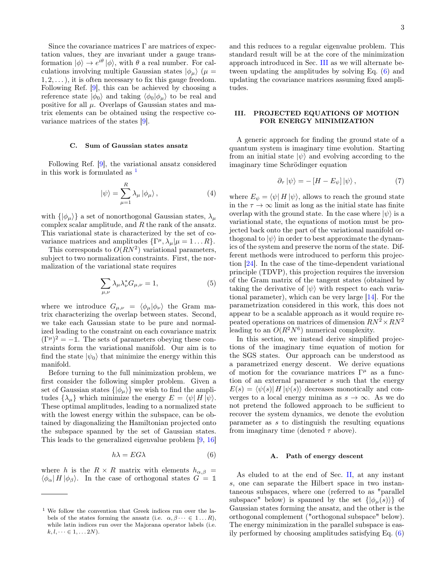Since the covariance matrices  $\Gamma$  are matrices of expectation values, they are invariant under a gauge transformation  $|\phi\rangle \rightarrow e^{i\theta} |\phi\rangle$ , with  $\theta$  a real number. For calculations involving multiple Gaussian states  $|\phi_\mu\rangle$  ( $\mu =$  $1, 2, \ldots$ , it is often necessary to fix this gauge freedom. Following Ref. [\[9\]](#page-14-2), this can be achieved by choosing a reference state  $|\phi_0\rangle$  and taking  $\langle \phi_0|\phi_\mu\rangle$  to be real and positive for all  $\mu$ . Overlaps of Gaussian states and matrix elements can be obtained using the respective covariance matrices of the states [\[9\]](#page-14-2).

#### C. Sum of Gaussian states ansatz

Following Ref. [\[9\]](#page-14-2), the variational ansatz considered in this work is formulated as  $<sup>1</sup>$  $<sup>1</sup>$  $<sup>1</sup>$ </sup>

$$
|\psi\rangle = \sum_{\mu=1}^{R} \lambda_{\mu} |\phi_{\mu}\rangle, \qquad (4)
$$

with  $\{\ket{\phi_\mu}\}\$ a set of nonorthogonal Gaussian states,  $\lambda_\mu$ complex scalar amplitude, and  $R$  the rank of the ansatz. This variational state is characterized by the set of covariance matrices and amplitudes  $\{\Gamma^{\mu}, \lambda_{\mu} | \mu = 1 ... R\}.$ 

This corresponds to  $O(RN^2)$  variational parameters, subject to two normalization constraints. First, the normalization of the variational state requires

$$
\sum_{\mu,\nu} \lambda_{\mu} \lambda_{\nu}^* G_{\mu,\nu} = 1, \tag{5}
$$

where we introduce  $G_{\mu,\nu} = \langle \phi_{\mu} | \phi_{\nu} \rangle$  the Gram matrix characterizing the overlap between states. Second, we take each Gaussian state to be pure and normalized leading to the constraint on each covariance matrix  $(\Gamma^{\mu})^2 = -1$ . The sets of parameters obeying these constraints form the variational manifold. Our aim is to find the state  $|\psi_0\rangle$  that minimize the energy within this manifold.

Before turning to the full minimization problem, we first consider the following simpler problem. Given a set of Gaussian states  $\{|\phi_\mu\rangle\}$  we wish to find the amplitudes  $\{\lambda_{\mu}\}\$  which minimize the energy  $E = \langle \psi | H | \psi \rangle$ . These optimal amplitudes, leading to a normalized state with the lowest energy within the subspace, can be obtained by diagonalizing the Hamiltonian projected onto the subspace spanned by the set of Gaussian states. This leads to the generalized eigenvalue problem [\[9,](#page-14-2) [16\]](#page-14-9)

<span id="page-2-2"></span>
$$
h\lambda = EG\lambda \tag{6}
$$

where h is the  $R \times R$  matrix with elements  $h_{\alpha,\beta}$  =  $\langle \phi_\alpha | H | \phi_\beta \rangle$ . In the case of orthogonal states  $G = \mathbb{1}$ 

and this reduces to a regular eigenvalue problem. This standard result will be at the core of the minimization approach introduced in Sec. [III](#page-2-0) as we will alternate between updating the amplitudes by solving Eq. [\(6\)](#page-2-2) and updating the covariance matrices assuming fixed amplitudes.

# <span id="page-2-0"></span>III. PROJECTED EQUATIONS OF MOTION FOR ENERGY MINIMIZATION

A generic approach for finding the ground state of a quantum system is imaginary time evolution. Starting from an initial state  $|\psi\rangle$  and evolving according to the imaginary time Schrödinger equation

<span id="page-2-3"></span>
$$
\partial_{\tau} |\psi\rangle = -\left[H - E_{\psi}\right] |\psi\rangle , \qquad (7)
$$

where  $E_{\psi} = \langle \psi | H | \psi \rangle$ , allows to reach the ground state in the  $\tau \to \infty$  limit as long as the initial state has finite overlap with the ground state. In the case where  $|\psi\rangle$  is a variational state, the equations of motion must be projected back onto the part of the variational manifold orthogonal to  $|\psi\rangle$  in order to best approximate the dynamics of the system and preserve the norm of the state. Different methods were introduced to perform this projection [\[24\]](#page-14-16). In the case of the time-dependent variational principle (TDVP), this projection requires the inversion of the Gram matrix of the tangent states (obtained by taking the derivative of  $|\psi\rangle$  with respect to each variational parameter), which can be very large [\[14\]](#page-14-7). For the parametrization considered in this work, this does not appear to be a scalable approach as it would require repeated operations on matrices of dimension  $RN^2 \times RN^2$ leading to an  $O(R^2N^6)$  numerical complexity.

In this section, we instead derive simplified projections of the imaginary time equation of motion for the SGS states. Our approach can be understood as a parametrized energy descent. We derive equations of motion for the covariance matrices  $\Gamma^{\mu}$  as a function of an external parameter s such that the energy  $E(s) = \langle \psi(s) | H | \psi(s) \rangle$  decreases monotically and converges to a local energy minima as  $s \to \infty$ . As we do not pretend the followed approach to be sufficient to recover the system dynamics, we denote the evolution parameter as s to distinguish the resulting equations from imaginary time (denoted  $\tau$  above).

## A. Path of energy descent

As eluded to at the end of Sec. [II,](#page-1-0) at any instant s, one can separate the Hilbert space in two instantaneous subspaces, where one (referred to as "parallel subspace" below) is spanned by the set  $\{|\phi_\mu(s)\rangle\}$  of Gaussian states forming the ansatz, and the other is the orthogonal complement ("orthogonal subspace" below). The energy minimization in the parallel subspace is easily performed by choosing amplitudes satisfying Eq. [\(6\)](#page-2-2)

<span id="page-2-1"></span><sup>1</sup> We follow the convention that Greek indices run over the labels of the states forming the ansatz (i.e.  $\alpha, \beta \cdots \in 1...R$ ), while latin indices run over the Majorana operator labels (i.e.  $k, l, \dots \in 1, \dots 2N$ .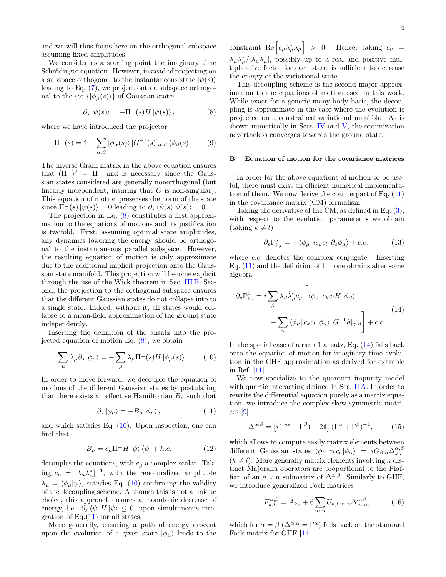and we will thus focus here on the orthogonal subspace assuming fixed amplitudes.

We consider as a starting point the imaginary time Schrödinger equation. However, instead of projecting on a subspace orthogonal to the instantaneous state  $|\psi(s)\rangle$ leading to Eq. [\(7\)](#page-2-3), we project onto a subspace orthogonal to the set  $\{|\phi_{\mu}(s)\rangle\}$  of Gaussian states

<span id="page-3-0"></span>
$$
\partial_s |\psi(s)\rangle = -\Pi^{\perp}(s) H |\psi(s)\rangle , \qquad (8)
$$

where we have introduced the projector

$$
\Pi^{\perp}(s) = \mathbb{1} - \sum_{\alpha,\beta} |\phi_{\alpha}(s)\rangle \left[G^{-1}(s)\right]_{\alpha,\beta} \langle \phi_{\beta}(s)|. \tag{9}
$$

The inverse Gram matrix in the above equation ensures that  $(\Pi^{\perp})^2 = \Pi^{\perp}$  and is necessary since the Gaussian states considered are generally nonorthogonal (but linearly independent, insuring that  $G$  is non-singular). This equation of motion preserves the norm of the state since  $\Pi^{\perp}(s)|\psi(s)\rangle = 0$  leading to  $\partial_s \langle \psi(s)|\psi(s)\rangle = 0$ .

The projection in Eq. [\(8\)](#page-3-0) constitutes a first approximation to the equations of motions and its justification is twofold. First, assuming optimal state amplitudes, any dynamics lowering the energy should be orthogonal to the instantaneous parallel subspace. However, the resulting equation of motion is only approximate due to the additional implicit projection onto the Gaussian state manifold. This projection will become explicit through the use of the Wick theorem in Sec. [III B.](#page-3-1) Second, the projection to the orthogonal subspace ensures that the different Gaussian states do not collapse into to a single state. Indeed, without it, all states would collapse to a mean-field approximation of the ground state independently.

Inserting the definition of the ansatz into the projected equation of motion Eq. [\(8\)](#page-3-0), we obtain

<span id="page-3-2"></span>
$$
\sum_{\mu} \lambda_{\mu} \partial_s | \phi_{\mu} \rangle = - \sum_{\mu} \lambda_{\mu} \Pi^{\perp}(s) H | \phi_{\mu}(s) \rangle. \tag{10}
$$

In order to move forward, we decouple the equation of motions of the different Gaussian states by postulating that there exists an effective Hamiltonian  $B_{\mu}$  such that

<span id="page-3-3"></span>
$$
\partial_s | \phi_\mu \rangle = -B_\mu | \phi_\mu \rangle \,, \tag{11}
$$

and which satisfies Eq.  $(10)$ . Upon inspection, one can find that

$$
B_{\mu} = c_{\mu} \Pi^{\perp} H \left| \psi \right\rangle \left\langle \psi \right| + h.c.
$$
 (12)

decouples the equations, with  $c_{\mu}$  a complex scalar. Taking  $c_{\mu} = [\lambda_{\mu} \tilde{\lambda}_{\mu}^*]^{-1}$ , with the renormalized amplitude  $\tilde{\lambda}_{\mu} = \langle \phi_{\mu} | \psi \rangle$ , satisfies Eq. [\(10\)](#page-3-2) confirming the validity of the decoupling scheme. Although this is not a unique choice, this approach ensures a monotonic decrease of energy, i.e.  $\partial_s \langle \psi | H | \psi \rangle \leq 0$ , upon simultaneous integration of Eq. $(11)$  for all states.

More generally, ensuring a path of energy descent upon the evolution of a given state  $|\phi_{\mu}\rangle$  leads to the

constraint  $\text{Re}\left[c_{\mu}\tilde{\lambda}_{\mu}^{*}\lambda_{\mu}\right] > 0$ . Hence, taking  $c_{\mu}$  =  $\tilde{\lambda}_{\mu} \lambda_{\mu}^* / |\tilde{\lambda}_{\mu} \lambda_{\mu}|$ , possibly up to a real and positive multiplicative factor for each state, is sufficient to decrease the energy of the variational state.

This decoupling scheme is the second major approximation to the equations of motion used in this work. While exact for a generic many-body basis, the decoupling is approximate in the case where the evolution is projected on a constrained variational manifold. As is shown numerically in Secs. [IV](#page-4-0) and [V,](#page-8-0) the optimization nevertheless converges towards the ground state.

## <span id="page-3-1"></span>B. Equation of motion for the covariance matrices

In order for the above equations of motion to be useful, there must exist an efficient numerical implementation of them. We now derive the counterpart of Eq.  $(11)$ in the covariance matrix (CM) formalism.

Taking the derivative of the CM, as defined in Eq. [\(3\)](#page-1-1), with respect to the evolution parameter s we obtain  $(\text{taking } k \neq l)$ 

<span id="page-3-4"></span>
$$
\partial_s \Gamma_{k,l}^{\mu} = - \langle \phi_{\mu} | i c_k c_l | \partial_s \phi_{\mu} \rangle + c.c., \qquad (13)
$$

where *c.c.* denotes the complex conjugate. Inserting Eq. [\(11\)](#page-3-3) and the definition of  $\Pi^{\perp}$  one obtains after some algebra

$$
\partial_s \Gamma_{k,l}^{\mu} = i \sum_{\beta} \lambda_{\beta} \tilde{\lambda}_{\mu}^* c_{\mu} \left[ \langle \phi_{\mu} | c_k c_l H | \phi_{\beta} \rangle \right. \\
\left. - \sum_{\gamma} \langle \phi_{\mu} | c_k c_l | \phi_{\gamma} \rangle \left[ G^{-1} h \right]_{\gamma,\beta} \right] + c.c.
$$
\n(14)

In the special case of a rank 1 ansatz, Eq. [\(14\)](#page-3-4) falls back onto the equation of motion for imaginary time evolution in the GHF approximation as derived for example in Ref. [\[11\]](#page-14-4).

We now specialize to the quantum impurity model with quartic interacting defined in Sec. [II A.](#page-1-2) In order to rewrite the differential equation purely as a matrix equation, we introduce the complex skew-symmetric matrices [\[9\]](#page-14-2)

$$
\Delta^{\alpha,\beta} = \left[ i(\Gamma^{\alpha} - \Gamma^{\beta}) - 2\mathbb{1} \right] (\Gamma^{\alpha} + \Gamma^{\beta})^{-1}, \quad (15)
$$

which allows to compute easily matrix elements between different Gaussian states  $\langle \phi_\beta | c_k c_l | \phi_\alpha \rangle = iG_{\beta,\alpha} \Delta_{k,l}^{\alpha,\beta}$  $(k \neq l)$ . More generally matrix elements involving n distinct Majorana operators are proportional to the Pfaffian of an  $n \times n$  submatrix of  $\Delta^{\alpha,\beta}$ . Similarly to GHF, we introduce generalized Fock matrices

$$
F_{k,l}^{\alpha,\beta} = A_{k,l} + 6 \sum_{m,n} U_{k,l,m,n} \Delta_{m,n}^{\alpha,\beta},
$$
 (16)

which for  $\alpha = \beta$  ( $\Delta^{\alpha,\alpha} = \Gamma^{\alpha}$ ) falls back on the standard Fock matrix for GHF [\[11\]](#page-14-4).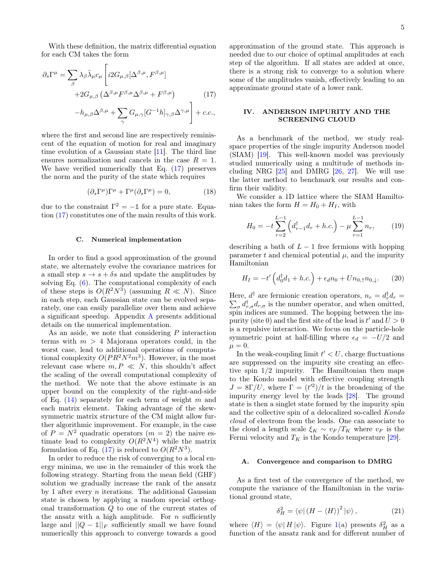5

With these definition, the matrix differential equation for each CM takes the form

$$
\partial_s \Gamma^{\mu} = \sum_{\beta} \lambda_{\beta} \tilde{\lambda}_{\mu} c_{\mu} \left[ i2G_{\mu,\beta} [\Delta^{\beta,\mu}, F^{\beta,\mu}] \right.\left. + 2G_{\mu,\beta} (\Delta^{\beta,\mu} F^{\beta,\mu} \Delta^{\beta,\mu} + F^{\beta,\mu}) \right] \left. (17) \right.\left. - h_{\mu,\beta} \Delta^{\beta,\mu} + \sum_{\gamma} G_{\mu,\gamma} [G^{-1} h]_{\gamma,\beta} \Delta^{\gamma,\mu} \right] + c.c.,
$$

where the first and second line are respectively reminiscent of the equation of motion for real and imaginary time evolution of a Gaussian state [\[11\]](#page-14-4). The third line ensures normalization and cancels in the case  $R = 1$ . We have verified numerically that Eq. [\(17\)](#page-4-1) preserves the norm and the purity of the state which requires

$$
(\partial_s \Gamma^\mu) \Gamma^\mu + \Gamma^\mu (\partial_s \Gamma^\mu) = 0, \tag{18}
$$

due to the constraint  $\Gamma^2 = -\mathbb{1}$  for a pure state. Equation [\(17\)](#page-4-1) constitutes one of the main results of this work.

# <span id="page-4-3"></span>C. Numerical implementation

In order to find a good approximation of the ground state, we alternately evolve the covariance matrices for a small step  $s \to s + \delta s$  and update the amplitudes by solving Eq.  $(6)$ . The computational complexity of each of these steps is  $O(R^2N^3)$  (assuming  $R \ll N$ ). Since in each step, each Gaussian state can be evolved separately, one can easily parallelize over them and achieve a significant speedup. Appendix [A](#page-10-0) presents additional details on the numerical implementation.

As an aside, we note that considering  $P$  interaction terms with  $m > 4$  Majorana operators could, in the worst case, lead to additional operations of computational complexity  $O(PR^2N^2m^3)$ . However, in the most relevant case where  $m, P \ll N$ , this shouldn't affect the scaling of the overall computational complexity of the method. We note that the above estimate is an upper bound on the complexity of the right-and-side of Eq.  $(14)$  separately for each term of weight m and each matrix element. Taking advantage of the skewsymmetric matrix structure of the CM might allow further algorithmic improvement. For example, in the case of  $P = N^2$  quadratic operators  $(m = 2)$  the naive estimate lead to complexity  $O(R^2N^4)$  while the matrix formulation of Eq.  $(17)$  is reduced to  $O(R^2N^3)$ .

In order to reduce the risk of converging to a local energy minima, we use in the remainder of this work the following strategy. Starting from the mean field (GHF) solution we gradually increase the rank of the ansatz by 1 after every  $n$  iterations. The additional Gaussian state is chosen by applying a random special orthogonal transformation Q to one of the current states of the ansatz with a high amplitude. For  $n$  sufficiently large and  $||Q - 1||_F$  sufficiently small we have found numerically this approach to converge towards a good

approximation of the ground state. This approach is needed due to our choice of optimal amplitudes at each step of the algorithm. If all states are added at once, there is a strong risk to converge to a solution where some of the amplitudes vanish, effectively leading to an approximate ground state of a lower rank.

# <span id="page-4-1"></span><span id="page-4-0"></span>IV. ANDERSON IMPURITY AND THE SCREENING CLOUD

As a benchmark of the method, we study realspace properties of the single impurity Anderson model (SIAM) [\[19\]](#page-14-11). This well-known model was previously studied numerically using a multitude of methods including NRG  $[25]$  and DMRG  $[26, 27]$  $[26, 27]$  $[26, 27]$ . We will use the latter method to benchmark our results and confirm their validity.

We consider a 1D lattice where the SIAM Hamiltonian takes the form  $H = H_0 + H_I$ , with

$$
H_0 = -t\sum_{r=2}^{L-1} \left( d_{r-1}^\dagger d_r + h.c. \right) - \mu \sum_{r=1}^{L-1} n_r, \qquad (19)
$$

describing a bath of  $L - 1$  free fermions with hopping parameter  $t$  and chemical potential  $\mu$ , and the impurity Hamiltonian

$$
H_I = -t'\left(d_0^\dagger d_1 + h.c.\right) + \epsilon_d n_0 + U n_{0,\uparrow} n_{0,\downarrow}.\tag{20}
$$

Here,  $d^{\dagger}$  are fermionic creation operators,  $n_r = d_r^{\dagger}$ Here,  $d^{\dagger}$  are fermionic creation operators,  $n_r = d_r^{\dagger} d_r = \sum_{\sigma} d_{r,\sigma}^{\dagger} d_{r,\sigma}$  is the number operator, and when omitted, spin indices are summed. The hopping between the impurity (site 0) and the first site of the lead is  $t'$  and  $U > 0$ is a repulsive interaction. We focus on the particle-hole symmetric point at half-filling where  $\epsilon_d = -U/2$  and  $\mu = 0.$ 

In the weak-coupling limit  $t' < U$ , charge fluctuations are suppressed on the impurity site creating an effective spin 1/2 impurity. The Hamiltonian then maps to the Kondo model with effective coupling strength  $J = 8\Gamma/U$ , where  $\Gamma = (t^2)/t$  is the broadening of the impurity energy level by the leads [\[28\]](#page-14-20). The ground state is then a singlet state formed by the impurity spin and the collective spin of a delocalized so-called Kondo cloud of electrons from the leads. One can associate to the cloud a length scale  $\xi_K \sim v_F/T_K$  where  $v_F$  is the Fermi velocity and  $T_K$  is the Kondo temperature [\[29\]](#page-14-21).

#### A. Convergence and comparison to DMRG

As a first test of the convergence of the method, we compute the variance of the Hamiltonian in the variational ground state,

<span id="page-4-2"></span>
$$
\delta_H^2 = \langle \psi | \left( H - \langle H \rangle \right)^2 | \psi \rangle \,, \tag{21}
$$

where  $\langle H \rangle = \langle \psi | H | \psi \rangle$ . Figure [1\(](#page-5-0)a) presents  $\delta_H^2$  as a function of the ansatz rank and for different number of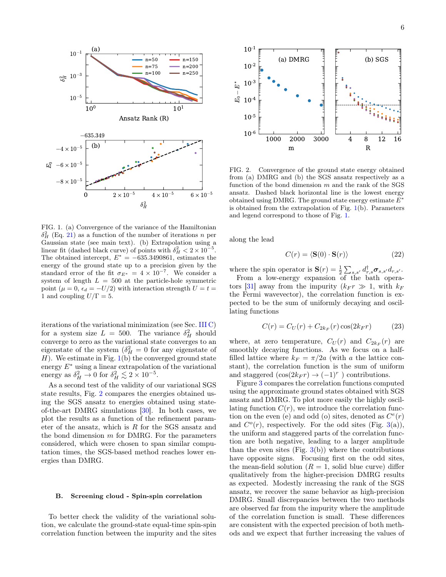

<span id="page-5-0"></span>FIG. 1. (a) Convergence of the variance of the Hamiltonian  $\delta_H^2$  (Eq. [21\)](#page-4-2) as a function of the number of iterations n per Gaussian state (see main text). (b) Extrapolation using a linear fit (dashed black curve) of points with  $\delta_H^2 < 2 \times 10^{-5}$ . The obtained intercept,  $E^* = -635.3490861$ , estimates the energy of the ground state up to a precision given by the standard error of the fit  $\sigma_{E^*} = 4 \times 10^{-7}$ . We consider a system of length  $L = 500$  at the particle-hole symmetric point ( $\mu = 0$ ,  $\epsilon_d = -U/2$ ) with interaction strength  $U = t =$ 1 and coupling  $U/\Gamma = 5$ .

iterations of the variational minimization (see Sec. [III C\)](#page-4-3) for a system size  $L = 500$ . The variance  $\delta_H^2$  should converge to zero as the variational state converges to an eigenstate of the system  $(\delta_H^2 = 0$  for any eigenstate of  $H$ ). We estimate in Fig. [1\(](#page-5-0)b) the converged ground state energy  $E^*$  using a linear extrapolation of the variational energy as  $\delta_H^2 \to 0$  for  $\delta_H^2 \lesssim 2 \times 10^{-5}$ .

As a second test of the validity of our variational SGS state results, Fig. [2](#page-5-1) compares the energies obtained using the SGS ansatz to energies obtained using stateof-the-art DMRG simulations [\[30\]](#page-14-22). In both cases, we plot the results as a function of the refinement parameter of the ansatz, which is  $R$  for the SGS ansatz and the bond dimension  $m$  for DMRG. For the parameters considered, which were chosen to span similar computation times, the SGS-based method reaches lower energies than DMRG.

## <span id="page-5-2"></span>B. Screening cloud - Spin-spin correlation

To better check the validity of the variational solution, we calculate the ground-state equal-time spin-spin correlation function between the impurity and the sites



<span id="page-5-1"></span>FIG. 2. Convergence of the ground state energy obtained from (a) DMRG and (b) the SGS ansatz respectively as a function of the bond dimension  $m$  and the rank of the SGS ansatz. Dashed black horizontal line is the lowest energy obtained using DMRG. The ground state energy estimate  $E^*$ is obtained from the extrapolation of Fig.  $1(b)$  $1(b)$ . Parameters and legend correspond to those of Fig. [1.](#page-5-0)

along the lead

$$
C(r) = \langle \mathbf{S}(0) \cdot \mathbf{S}(r) \rangle \tag{22}
$$

where the spin operator is  $\mathbf{S}(r) = \frac{1}{2} \sum_{s,s'} d_{r,s}^{\dagger} \sigma_{s,s'} d_{r,s'}$ .

From a low-energy expansion of the bath opera-tors [\[31\]](#page-14-23) away from the impurity  $(k_F r \gg 1$ , with  $k_F$ the Fermi wavevector), the correlation function is expected to be the sum of uniformly decaying and oscillating functions

$$
C(r) = C_U(r) + C_{2k_F}(r)\cos(2k_F r)
$$
 (23)

where, at zero temperature,  $C_U(r)$  and  $C_{2k_F}(r)$  are smoothly decaying functions. As we focus on a halffilled lattice where  $k_F = \pi/2a$  (with a the lattice constant), the correlation function is the sum of uniform and staggered  $(\cos(2k_F r) \rightarrow (-1)^r)$  contributions.

Figure [3](#page-6-0) compares the correlation functions computed using the approximate ground states obtained with SGS ansatz and DMRG. To plot more easily the highly oscillating function  $C(r)$ , we introduce the correlation function on the even (e) and odd (o) sites, denoted as  $C<sup>e</sup>(r)$ and  $C<sup>o</sup>(r)$ , respectively. For the odd sites (Fig. [3\(](#page-6-0)a)), the uniform and staggered parts of the correlation function are both negative, leading to a larger amplitude than the even sites (Fig.  $3(b)$  $3(b)$ ) where the contributions have opposite signs. Focusing first on the odd sites, the mean-field solution  $(R = 1$ , solid blue curve) differ qualitatively from the higher-precision DMRG results as expected. Modestly increasing the rank of the SGS ansatz, we recover the same behavior as high-precision DMRG. Small discrepancies between the two methods are observed far from the impurity where the amplitude of the correlation function is small. These differences are consistent with the expected precision of both methods and we expect that further increasing the values of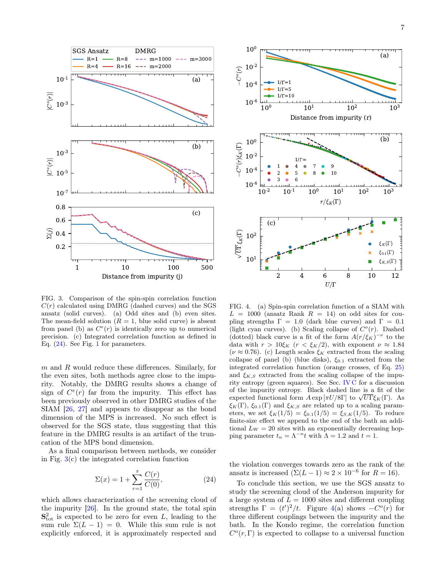

<span id="page-6-0"></span>FIG. 3. Comparison of the spin-spin correlation function  $C(r)$  calculated using DMRG (dashed curves) and the SGS ansatz (solid curves). (a) Odd sites and (b) even sites. The mean-field solution  $(R = 1,$  blue solid curve) is absent from panel (b) as  $C^e(r)$  is identically zero up to numerical precision. (c) Integrated correlation function as defined in Eq. [\(24\)](#page-6-1). See Fig. [1](#page-5-0) for parameters.

 $m$  and  $R$  would reduce these differences. Similarly, for the even sites, both methods agree close to the impurity. Notably, the DMRG results shows a change of sign of  $C<sup>e</sup>(r)$  far from the impurity. This effect has been previously observed in other DMRG studies of the SIAM [\[26,](#page-14-18) [27\]](#page-14-19) and appears to disappear as the bond dimension of the MPS is increased. No such effect is observed for the SGS state, thus suggesting that this feature in the DMRG results is an artifact of the truncation of the MPS bond dimension.

As a final comparison between methods, we consider in Fig. [3\(](#page-6-0)c) the integrated correlation function

<span id="page-6-1"></span>
$$
\Sigma(x) = 1 + \sum_{r=1}^{x} \frac{C(r)}{C(0)},
$$
\n(24)

which allows characterization of the screening cloud of the impurity [\[26\]](#page-14-18). In the ground state, the total spin  $\mathbf{S}^2_{\text{tot}}$  is expected to be zero for even L, leading to the sum rule  $\Sigma(L-1) = 0$ . While this sum rule is not explicitly enforced, it is approximately respected and



<span id="page-6-2"></span>FIG. 4. (a) Spin-spin correlation function of a SIAM with  $L = 1000$  (ansatz Rank  $R = 14$ ) on odd sites for coupling strengths  $\Gamma = 1.0$  (dark blue curves) and  $\Gamma = 0.1$ (light cyan curves). (b) Scaling collapse of  $C<sup>o</sup>(r)$ . Dashed (dotted) black curve is a fit of the form  $A(r/\xi_K)^{-\nu}$  to the data with  $r > 10\xi_K$  ( $r < \xi_K/2$ ), with exponent  $\nu \approx 1.84$ ( $\nu \approx 0.76$ ). (c) Length scales  $\xi_K$  extracted from the scaling collapse of panel (b) (blue disks),  $\xi_{0.1}$  extracted from the integrated correlation function (orange crosses, cf Eq. [25\)](#page-7-0) and  $\xi_{K,S}$  extracted from the scaling collapse of the impurity entropy (green squares). See Sec. [IV C](#page-7-1) for a discussion of the impurity entropy. Black dashed line is a fit of the of the impurity entropy. Black dashed line is a fit of the expected functional form  $A \exp[\pi U/8\Gamma]$  to  $\sqrt{U\Gamma} \xi_K(\Gamma)$ . As  $\xi_K(\Gamma)$ ,  $\xi_{0.1}(\Gamma)$  and  $\xi_{K,S}$  are related up to a scaling parameters, we set  $\xi_K(1/5) = \xi_{0.1}(1/5) = \xi_{S,K}(1/5)$ . To reduce finite-size effect we append to the end of the bath an additional  $L_W = 20$  sites with an exponentially decreasing hopping parameter  $t_n = \Lambda^{-n} t$  with  $\Lambda = 1.2$  and  $t = 1$ .

the violation converges towards zero as the rank of the ansatz is increased  $(\Sigma(L-1) \approx 2 \times 10^{-6}$  for  $R = 16)$ .

To conclude this section, we use the SGS ansatz to study the screening cloud of the Anderson impurity for a large system of  $L = 1000$  sites and different coupling strengths  $\Gamma = (t')^2/t$ . Figure [4\(](#page-6-2)a) shows  $-C^o(r)$  for three different couplings between the impurity and the bath. In the Kondo regime, the correlation function  $C^o(r,\Gamma)$  is expected to collapse to a universal function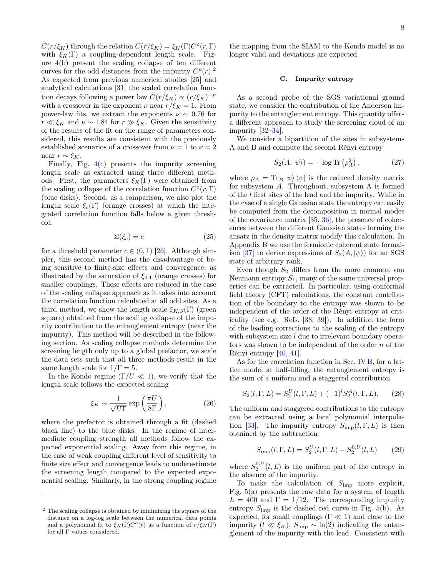$\tilde{C}(r/\xi_K)$  through the relation  $\tilde{C}(r/\xi_K) = \xi_K(\Gamma)C^o(r,\Gamma)$ with  $\xi_K(\Gamma)$  a coupling-dependent length scale. Figure  $4(b)$  $4(b)$  present the scaling collapse of ten different curves for the odd distances from the impurity  $C^o(r)$ .<sup>[2](#page-7-2)</sup> As expected from previous numerical studies [\[25\]](#page-14-17) and analytical calculations [\[31\]](#page-14-23) the scaled correlation function decays following a power law  $\tilde{C}(r/\xi_K) \propto (r/\xi_K)^{-\nu}$ with a crossover in the exponent  $\nu$  near  $r/\xi_K = 1$ . From power-law fits, we extract the exponents  $\nu \sim 0.76$  for  $r \ll \xi_K$  and  $\nu \sim 1.84$  for  $r \gg \xi_K$ . Given the sensitivity of the results of the fit on the range of parameters considered, this results are consistent with the previously established scenarios of a crossover from  $\nu = 1$  to  $\nu = 2$ near  $r \sim \xi_K$ .

Finally, Fig. [4\(](#page-6-2)c) presents the impurity screening length scale as extracted using three different methods. First, the parameters  $\xi_K(\Gamma)$  were obtained from the scaling collapse of the correlation function  $C^o(r, \Gamma)$ (blue disks). Second, as a comparison, we also plot the length scale  $\xi_c(\Gamma)$  (orange crosses) at which the integrated correlation function falls below a given threshold:

<span id="page-7-0"></span>
$$
\Sigma(\xi_c) = c \tag{25}
$$

for a threshold parameter  $c \in (0,1)$  [\[26\]](#page-14-18). Although simpler, this second method has the disadvantage of being sensitive to finite-size effects and convergence, as illustrated by the saturation of  $\xi_{0.1}$  (orange crosses) for smaller couplings. These effects are reduced in the case of the scaling collapse approach as it takes into account the correlation function calculated at all odd sites. As a third method, we show the length scale  $\xi_{K,S}(\Gamma)$  (green square) obtained from the scaling collapse of the impurity contribution to the entanglement entropy (near the impurity). This method will be described in the following section. As scaling collapse methods determine the screening length only up to a global prefactor, we scale the data sets such that all three methods result in the same length scale for  $1/\Gamma = 5$ .

In the Kondo regime  $(\Gamma/U \ll 1)$ , we verify that the length scale follows the expected scaling

$$
\xi_K \sim \frac{1}{\sqrt{U\Gamma}} \exp\left(\frac{\pi U}{8\Gamma}\right),\tag{26}
$$

where the prefactor is obtained through a fit (dashed black line) to the blue disks. In the regime of intermediate coupling strength all methods follow the expected exponential scaling. Away from this regime, in the case of weak coupling different level of sensitivity to finite size effect and convergence leads to underestimate the screening length compared to the expected exponential scaling. Similarly, in the strong coupling regime the mapping from the SIAM to the Kondo model is no longer valid and deviations are expected.

#### <span id="page-7-1"></span>C. Impurity entropy

As a second probe of the SGS variational ground state, we consider the contribution of the Anderson impurity to the entanglement entropy. This quantity offers a different approach to study the screening cloud of an impurity [\[32–](#page-14-24)[34\]](#page-14-25).

We consider a bipartition of the sites in subsystems A and B and compute the second Rényi entropy

$$
S_2(A, |\psi\rangle) = -\log \text{Tr}\left(\rho_A^2\right),\tag{27}
$$

where  $\rho_A = \text{Tr}_B |\psi\rangle \langle \psi|$  is the reduced density matrix for subsystem A. Throughout, subsystem A is formed of the l first sites of the lead and the impurity. While in the case of a single Gaussian state the entropy can easily be computed from the decomposition in normal modes of the covariance matrix [\[35,](#page-14-26) [36\]](#page-14-27), the presence of coherences between the different Gaussian states forming the ansatz in the density matrix modify this calculation. In Appendix [B](#page-11-0) we use the fermionic coherent state formal-ism [\[37\]](#page-14-28) to derive expressions of  $S_2(A, |\psi\rangle)$  for an SGS state of arbitrary rank.

Even though  $S_2$  differs from the more common von Neumann entropy  $S_1$ , many of the same universal properties can be extracted. In particular, using conformal field theory (CFT) calculations, the constant contribution of the boundary to the entropy was shown to be independent of the order of the Rényi entropy at criticality (see e.g. Refs. [\[38,](#page-14-29) [39\]](#page-14-30)). In addition the form of the leading corrections to the scaling of the entropy with subsystem size  $l$  due to irrelevant boundary operators was shown to be independent of the order  $n$  of the Rényi entropy [\[40,](#page-14-31) [41\]](#page-14-32).

As for the correlation function in Sec. [IV B,](#page-5-2) for a lattice model at half-filling, the entanglement entropy is the sum of a uniform and a staggered contribution

$$
S_2(l, \Gamma, L) = S_2^U(l, \Gamma, L) + (-1)^l S_2^A(l, \Gamma, L). \tag{28}
$$

The uniform and staggered contributions to the entropy can be extracted using a local polynomial interpola-tion [\[33\]](#page-14-33). The impurity entropy  $S_{\text{imp}}(l,\Gamma,L)$  is then obtained by the subtraction

$$
S_{\rm imp}(l, \Gamma, L) = S_2^U(l, \Gamma, L) - S_2^{0, U}(l, L) \tag{29}
$$

where  $S_2^{0,U}(l,L)$  is the uniform part of the entropy in the absence of the impurity.

To make the calculation of  $S_{\text{imp}}$  more explicit, Fig.  $5(a)$  $5(a)$  presents the raw data for a system of length  $L = 400$  and  $\Gamma = 1/12$ . The corresponding impurity entropy  $S_{\text{imp}}$  is the dashed red curve in Fig. [5\(](#page-8-1)b). As expected, for small couplings ( $\Gamma \ll 1$ ) and close to the impurity  $(l \ll \xi_K)$ ,  $S_{\text{imp}} \sim \ln(2)$  indicating the entanglement of the impurity with the lead. Consistent with

<span id="page-7-2"></span><sup>2</sup> The scaling collapse is obtained by minimizing the square of the distance on a log-log scale between the numerical data points and a polynomial fit to  $\xi_K(\Gamma)C^o(r)$  as a function of  $r/\xi_K(\Gamma)$ for all  $\Gamma$  values considered.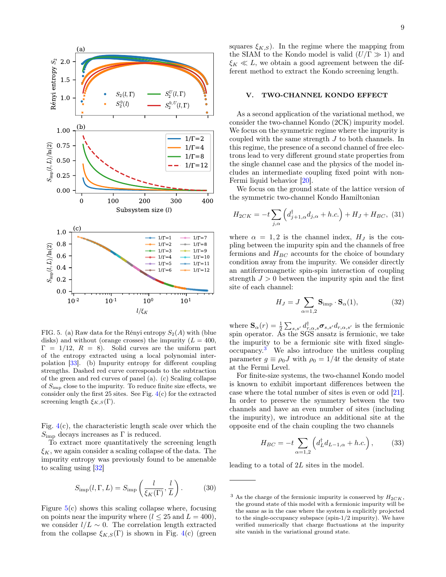

<span id="page-8-1"></span>FIG. 5. (a) Raw data for the Rényi entropy  $S_2(A)$  with (blue disks) and without (orange crosses) the impurity  $(L = 400,$  $\Gamma = 1/12$ ,  $R = 8$ ). Solid curves are the uniform part of the entropy extracted using a local polynomial interpolation [\[33\]](#page-14-33). (b) Impurity entropy for different coupling strengths. Dashed red curve corresponds to the subtraction of the green and red curves of panel (a). (c) Scaling collapse of  $S_{\text{imp}}$  close to the impurity. To reduce finite size effects, we consider only the first 25 sites. See Fig. [4\(](#page-6-2)c) for the extracted screening length  $\xi_{K,S}(\Gamma)$ .

Fig.  $4(c)$  $4(c)$ , the characteristic length scale over which the  $S_{\text{imp}}$  decays increases as  $\Gamma$  is reduced.

To extract more quantitatively the screening length  $\xi_K$ , we again consider a scaling collapse of the data. The impurity entropy was previously found to be amenable to scaling using [\[32\]](#page-14-24)

$$
S_{\rm imp}(l, \Gamma, L) = S_{\rm imp}\left(\frac{l}{\xi_K(\Gamma)}, \frac{l}{L}\right). \tag{30}
$$

Figure  $5(c)$  $5(c)$  shows this scaling collapse where, focusing on points near the impurity where  $(l \le 25$  and  $L = 400)$ , we consider  $l/L \sim 0$ . The correlation length extracted from the collapse  $\xi_{K,S}(\Gamma)$  is shown in Fig. [4\(](#page-6-2)c) (green squares  $\xi_{K,S}$ ). In the regime where the mapping from the SIAM to the Kondo model is valid  $(U/\Gamma \gg 1)$  and  $\xi_K \ll L$ , we obtain a good agreement between the different method to extract the Kondo screening length.

# <span id="page-8-0"></span>V. TWO-CHANNEL KONDO EFFECT

As a second application of the variational method, we consider the two-channel Kondo (2CK) impurity model. We focus on the symmetric regime where the impurity is coupled with the same strength J to both channels. In this regime, the presence of a second channel of free electrons lead to very different ground state properties from the single channel case and the physics of the model includes an intermediate coupling fixed point with non-Fermi liquid behavior [\[20\]](#page-14-12).

We focus on the ground state of the lattice version of the symmetric two-channel Kondo Hamiltonian

$$
H_{2CK} = -t \sum_{j,\alpha} \left( d_{j+1,\alpha}^{\dagger} d_{j,\alpha} + h.c. \right) + H_J + H_{BC}, \tag{31}
$$

where  $\alpha = 1, 2$  is the channel index,  $H_J$  is the coupling between the impurity spin and the channels of free fermions and  $H_{BC}$  accounts for the choice of boundary condition away from the impurity. We consider directly an antiferromagnetic spin-spin interaction of coupling strength  $J > 0$  between the impurity spin and the first site of each channel:

$$
H_J = J \sum_{\alpha=1,2} \mathbf{S}_{\text{imp}} \cdot \mathbf{S}_{\alpha}(1), \tag{32}
$$

where  $\mathbf{S}_{\alpha}(r) = \frac{1}{2} \sum_{s,s'} d_{r,\alpha,s}^{\dagger} \boldsymbol{\sigma}_{s,s'} d_{r,\alpha,s'}$  is the fermionic spin operator. As the SGS ansatz is fermionic, we take the impurity to be a fermionic site with fixed singleoccupancy.[3](#page-8-2) We also introduce the unitless coupling parameter  $q \equiv \rho_0 J$  with  $\rho_0 = 1/4t$  the density of state at the Fermi Level.

For finite-size systems, the two-channel Kondo model is known to exhibit important differences between the case where the total number of sites is even or odd [\[21\]](#page-14-13). In order to preserve the symmetry between the two channels and have an even number of sites (including the impurity), we introduce an additional site at the opposite end of the chain coupling the two channels

$$
H_{BC} = -t \sum_{\alpha=1,2} \left( d_L^{\dagger} d_{L-1,\alpha} + h.c. \right), \tag{33}
$$

leading to a total of 2L sites in the model.

<span id="page-8-2"></span><sup>&</sup>lt;sup>3</sup> As the charge of the fermionic impurity is conserved by  $H_{2CK}$ , the ground state of this model with a fermionic impurity will be the same as in the case where the system is explicitly projected to the single-occupancy subspace (spin-1/2 impurity). We have verified numerically that charge fluctuations at the impurity site vanish in the variational ground state.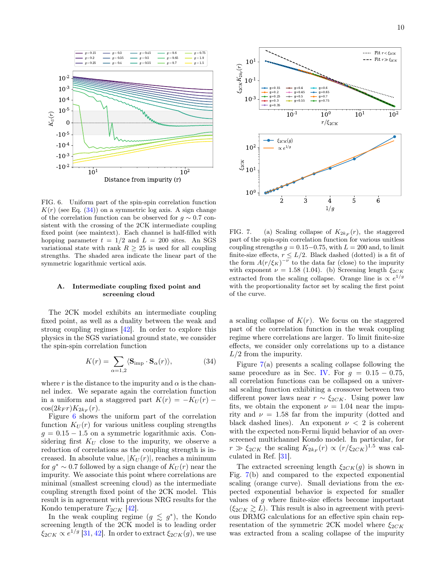

<span id="page-9-1"></span>FIG. 6. Uniform part of the spin-spin correlation function  $K(r)$  (see Eq. [\(34\)](#page-9-0)) on a symmetric log axis. A sign change of the correlation function can be observed for  $q \sim 0.7$  consistent with the crossing of the 2CK intermediate coupling fixed point (see maintext). Each channel is half-filled with hopping parameter  $t = 1/2$  and  $L = 200$  sites. An SGS variational state with rank  $R > 25$  is used for all coupling strengths. The shaded area indicate the linear part of the symmetric logarithmic vertical axis.

## A. Intermediate coupling fixed point and screening cloud

The 2CK model exhibits an intermediate coupling fixed point, as well as a duality between the weak and strong coupling regimes [\[42\]](#page-15-0). In order to explore this physics in the SGS variational ground state, we consider the spin-spin correlation function

<span id="page-9-0"></span>
$$
K(r) = \sum_{\alpha=1,2} \langle \mathbf{S}_{\text{imp}} \cdot \mathbf{S}_{\alpha}(r) \rangle, \tag{34}
$$

where r is the distance to the impurity and  $\alpha$  is the channel index. We separate again the correlation function in a uniform and a staggered part  $K(r) = -K_U(r)$  –  $\cos(2k_F r)K_{2k_F}(r)$ .

Figure [6](#page-9-1) shows the uniform part of the correlation function  $K_U(r)$  for various unitless coupling strengths  $g = 0.15 - 1.5$  on a symmetric logarithmic axis. Considering first  $K_U$  close to the impurity, we observe a reduction of correlations as the coupling strength is increased. In absolute value,  $|K_U(r)|$ , reaches a minimum for  $g^* \sim 0.7$  followed by a sign change of  $K_U(r)$  near the impurity. We associate this point where correlations are minimal (smallest screening cloud) as the intermediate coupling strength fixed point of the 2CK model. This result is in agreement with previous NRG results for the Kondo temperature  $T_{2CK}$  [\[42\]](#page-15-0).

In the weak coupling regime  $(g \leq g^*)$ , the Kondo screening length of the 2CK model is to leading order  $\xi_{2CK}\propto e^{1/g}$  [\[31,](#page-14-23) [42\]](#page-15-0). In order to extract  $\xi_{2CK}(g)$ , we use



<span id="page-9-2"></span>FIG. 7. (a) Scaling collapse of  $K_{2k_F}(r)$ , the staggered part of the spin-spin correlation function for various unitless coupling strengths  $g = 0.15-0.75$ , with  $L = 200$  and, to limit finite-size effects,  $r \leq L/2$ . Black dashed (dotted) is a fit of the form  $A(r/\xi_K)^{-\nu}$  to the data far (close) to the impurity with exponent  $\nu = 1.58$  (1.04). (b) Screening length  $\xi_{2CK}$ extracted from the scaling collapse. Orange line is  $\propto e^{1/g}$ with the proportionality factor set by scaling the first point of the curve.

a scaling collapse of  $K(r)$ . We focus on the staggered part of the correlation function in the weak coupling regime where correlations are larger. To limit finite-size effects, we consider only correlations up to a distance  $L/2$  from the impurity.

Figure [7\(](#page-9-2)a) presents a scaling collapse following the same procedure as in Sec. [IV.](#page-4-0) For  $q = 0.15 - 0.75$ , all correlation functions can be collapsed on a universal scaling function exhibiting a crossover between two different power laws near  $r \sim \xi_{2CK}$ . Using power law fits, we obtain the exponent  $\nu = 1.04$  near the impurity and  $\nu = 1.58$  far from the impurity (dotted and black dashed lines). An exponent  $\nu < 2$  is coherent with the expected non-Fermi liquid behavior of an overscreened multichannel Kondo model. In particular, for  $r \gg \xi_{2CK}$  the scaling  $K_{2k_F}(r) \propto (r/\xi_{2CK})^{1.5}$  was calculated in Ref. [\[31\]](#page-14-23).

The extracted screening length  $\xi_{2CK}(g)$  is shown in Fig. [7\(](#page-9-2)b) and compared to the expected exponential scaling (orange curve). Small deviations from the expected exponential behavior is expected for smaller values of  $q$  where finite-size effects become important  $(\xi_{2CK} \gtrsim L)$ . This result is also in agreement with previous DRMG calculations for an effective spin chain representation of the symmetric 2CK model where  $\xi_{2CK}$ was extracted from a scaling collapse of the impurity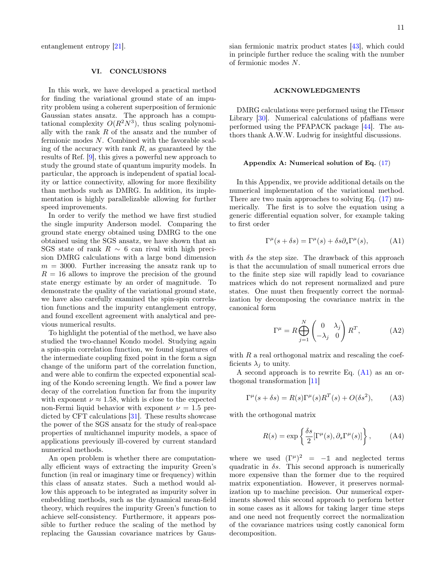entanglement entropy [\[21\]](#page-14-13).

# VI. CONCLUSIONS

In this work, we have developed a practical method for finding the variational ground state of an impurity problem using a coherent superposition of fermionic Gaussian states ansatz. The approach has a computational complexity  $O(R^2N^3)$ , thus scaling polynomially with the rank  $R$  of the ansatz and the number of fermionic modes N. Combined with the favorable scaling of the accuracy with rank  $R$ , as guaranteed by the results of Ref. [\[9\]](#page-14-2), this gives a powerful new approach to study the ground state of quantum impurity models. In particular, the approach is independent of spatial locality or lattice connectivity, allowing for more flexibility than methods such as DMRG. In addition, its implementation is highly parallelizable allowing for further speed improvements.

In order to verify the method we have first studied the single impurity Anderson model. Comparing the ground state energy obtained using DMRG to the one obtained using the SGS ansatz, we have shown that an SGS state of rank  $R \sim 6$  can rival with high precision DMRG calculations with a large bond dimension  $m = 3000$ . Further increasing the ansatz rank up to  $R = 16$  allows to improve the precision of the ground state energy estimate by an order of magnitude. To demonstrate the quality of the variational ground state, we have also carefully examined the spin-spin correlation functions and the impurity entanglement entropy, and found excellent agreement with analytical and previous numerical results.

To highlight the potential of the method, we have also studied the two-channel Kondo model. Studying again a spin-spin correlation function, we found signatures of the intermediate coupling fixed point in the form a sign change of the uniform part of the correlation function, and were able to confirm the expected exponential scaling of the Kondo screening length. We find a power law decay of the correlation function far from the impurity with exponent  $\nu \approx 1.58$ , which is close to the expected non-Fermi liquid behavior with exponent  $\nu = 1.5$  predicted by CFT calculations [\[31\]](#page-14-23). These results showcase the power of the SGS ansatz for the study of real-space properties of multichannel impurity models, a space of applications previously ill-covered by current standard numerical methods.

An open problem is whether there are computationally efficient ways of extracting the impurity Green's function (in real or imaginary time or frequency) within this class of ansatz states. Such a method would allow this approach to be integrated as impurity solver in embedding methods, such as the dynamical mean-field theory, which requires the impurity Green's function to achieve self-consistency. Furthermore, it appears possible to further reduce the scaling of the method by replacing the Gaussian covariance matrices by Gaussian fermionic matrix product states [\[43\]](#page-15-1), which could in principle further reduce the scaling with the number of fermionic modes N.

#### ACKNOWLEDGMENTS

DMRG calculations were performed using the ITensor Library [\[30\]](#page-14-22). Numerical calculations of pfaffians were performed using the PFAPACK package [\[44\]](#page-15-2). The authors thank A.W.W. Ludwig for insightful discussions.

#### <span id="page-10-0"></span>Appendix A: Numerical solution of Eq. [\(17\)](#page-4-1)

In this Appendix, we provide additional details on the numerical implementation of the variational method. There are two main approaches to solving Eq. [\(17\)](#page-4-1) numerically. The first is to solve the equation using a generic differential equation solver, for example taking to first order

<span id="page-10-1"></span>
$$
\Gamma^{\mu}(s+\delta s) = \Gamma^{\mu}(s) + \delta s \partial_s \Gamma^{\mu}(s), \tag{A1}
$$

with  $\delta s$  the step size. The drawback of this approach is that the accumulation of small numerical errors due to the finite step size will rapidly lead to covariance matrices which do not represent normalized and pure states. One must then frequently correct the normalization by decomposing the covariance matrix in the canonical form

<span id="page-10-2"></span>
$$
\Gamma^{\mu} = R \bigoplus_{j=1}^{N} \begin{pmatrix} 0 & \lambda_{j} \\ -\lambda_{j} & 0 \end{pmatrix} R^{T}, \quad (A2)
$$

with  $R$  a real orthogonal matrix and rescaling the coefficients  $\lambda_i$  to unity.

A second approach is to rewrite Eq. [\(A1\)](#page-10-1) as an orthogonal transformation [\[11\]](#page-14-4)

$$
\Gamma^{\mu}(s+\delta s) = R(s)\Gamma^{\mu}(s)R^{T}(s) + O(\delta s^{2}), \quad (A3)
$$

with the orthogonal matrix

$$
R(s) = \exp\left\{\frac{\delta s}{2} [\Gamma^{\mu}(s), \partial_s \Gamma^{\mu}(s)]\right\}, \quad (A4)
$$

where we used  $(\Gamma^{\mu})^2 = -1$  and neglected terms quadratic in  $\delta s$ . This second approach is numerically more expensive than the former due to the required matrix exponentiation. However, it preserves normalization up to machine precision. Our numerical experiments showed this second approach to perform better in some cases as it allows for taking larger time steps and one need not frequently correct the normalization of the covariance matrices using costly canonical form decomposition.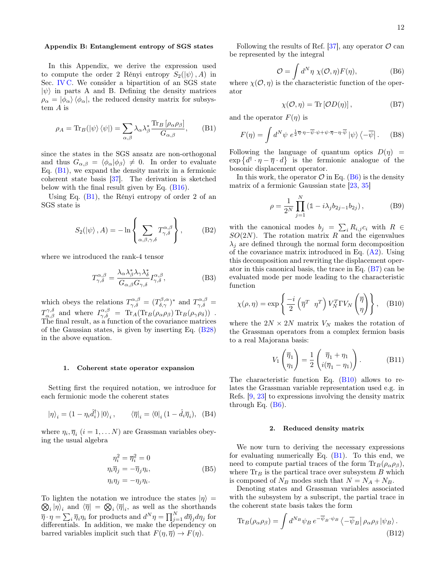# <span id="page-11-0"></span>Appendix B: Entanglement entropy of SGS states

In this Appendix, we derive the expression used to compute the order 2 Rényi entropy  $S_2(|\psi\rangle, A)$  in Sec. [IV C.](#page-7-1) We consider a bipartition of an SGS state  $|\psi\rangle$  in parts A and B. Defining the density matrices  $\rho_{\alpha} = |\phi_{\alpha}\rangle \langle \phi_{\alpha}|$ , the reduced density matrix for subsystem A is

$$
\rho_A = \text{Tr}_B(|\psi\rangle\langle\psi|) = \sum_{\alpha,\beta} \lambda_\alpha \lambda_\beta^* \frac{\text{Tr}_B[\rho_\alpha \rho_\beta]}{G_{\alpha,\beta}}, \quad (B1)
$$

since the states in the SGS ansatz are non-orthogonal and thus  $G_{\alpha,\beta} = \langle \phi_\alpha | \phi_\beta \rangle \neq 0$ . In order to evaluate Eq.  $(B1)$ , we expand the density matrix in a fermionic coherent state basis [\[37\]](#page-14-28). The derivation is sketched below with the final result given by Eq. [\(B16\)](#page-12-0).

Using Eq.  $(B1)$ , the Rényi entropy of order 2 of an SGS state is

<span id="page-11-8"></span>
$$
S_2(\ket{\psi}, A) = -\ln\left\{\sum_{\alpha, \beta, \gamma, \delta} T^{\alpha, \beta}_{\gamma, \delta}\right\},\tag{B2}
$$

where we introduced the rank-4 tensor

<span id="page-11-7"></span>
$$
T^{\alpha,\beta}_{\gamma,\delta} = \frac{\lambda_{\alpha}\lambda_{\beta}^*\lambda_{\gamma}\lambda_{\delta}^*}{G_{\alpha,\beta}G_{\gamma,\delta}} I^{\alpha,\beta}_{\gamma,\delta},
$$
(B3)

which obeys the relations  $T^{\alpha,\beta}_{\gamma,\delta} = (T^{\beta,\alpha}_{\delta,\gamma})^*$  and  $T^{\alpha,\beta}_{\gamma,\delta} =$  $T^{\gamma,\delta}_{\alpha,\beta}$  and where  $I^{\alpha,\beta}_{\gamma,\delta} = {\rm Tr}_A({\rm Tr}_B(\rho_\alpha \rho_\beta) {\rm Tr}_B(\rho_\gamma \rho_\delta))$ . The final result, as a function of the covariance matrices of the Gaussian states, is given by inserting Eq. [\(B28\)](#page-13-6) in the above equation.

#### 1. Coherent state operator expansion

Setting first the required notation, we introduce for each fermionic mode the coherent states

$$
|\eta\rangle_i = (1 - \eta_i \hat{d}_i^\dagger) |0\rangle_i, \qquad \langle \overline{\eta}|_i = \langle 0|_i (1 - \hat{d}_i \overline{\eta}_i), \quad (B4)
$$

where  $\eta_i, \overline{\eta}_i$   $(i = 1, \ldots N)$  are Grassman variables obeying the usual algebra

$$
\eta_i^2 = \overline{\eta}_i^2 = 0
$$
  
\n
$$
\eta_i \overline{\eta}_j = -\overline{\eta}_j \eta_i,
$$
  
\n
$$
\eta_i \eta_j = -\eta_j \eta_i.
$$
\n(B5)

To lighten the notation we introduce the states  $|\eta\rangle =$  $\langle \otimes_i | \eta \rangle_i$  and  $\langle \overline{\eta} | = \langle \otimes_i \langle \overline{\eta} |_i \rangle$ , as well as the shorthands  $\overline{\eta} \cdot \eta = \sum_i \overline{\eta}_i \eta_i$  for products and  $d^N \eta = \prod_{j=1}^N d\overline{\eta}_j d\eta_j$  for differentials. In addition, we make the dependency on barred variables implicit such that  $F(\eta, \overline{\eta}) \to F(\eta)$ .

Following the results of Ref. [\[37\]](#page-14-28), any operator  $\mathcal{O}$  can be represented by the integral

<span id="page-11-2"></span>
$$
\mathcal{O} = \int d^N \eta \ \chi(\mathcal{O}, \eta) F(\eta), \tag{B6}
$$

where  $\chi(\mathcal{O}, \eta)$  is the characteristic function of the operator

<span id="page-11-3"></span>
$$
\chi(\mathcal{O}, \eta) = \text{Tr}[\mathcal{O}D(\eta)],\tag{B7}
$$

<span id="page-11-1"></span>and the operator  $F(\eta)$  is

<span id="page-11-5"></span>
$$
F(\eta) = \int d^N \psi \ e^{\frac{1}{2}\overline{\eta} \cdot \eta - \overline{\psi} \cdot \psi + \psi \cdot \overline{\eta} - \eta \cdot \overline{\psi}} \left| \psi \right\rangle \left\langle -\overline{\psi} \right|.
$$
 (B8)

Following the language of quantum optics  $D(\eta)$  =  $\exp\{d^{\dagger}\cdot\eta-\overline{\eta}\cdot d\}$  is the fermionic analogue of the bosonic displacement operator.

In this work, the operator  $\mathcal O$  in Eq. [\(B6\)](#page-11-2) is the density matrix of a fermionic Gaussian state [\[23,](#page-14-15) [35\]](#page-14-26)

$$
\rho = \frac{1}{2^N} \prod_{j=1}^N \left( 1 - i \lambda_j b_{2j-1} b_{2j} \right),\tag{B9}
$$

with the canonical modes  $b_j = \sum_i R_{i,j} c_i$  with  $R \in$  $SO(2N)$ . The rotation matrix R and the eigenvalues  $\lambda_i$  are defined through the normal form decomposition of the covariance matrix introduced in Eq.  $(A2)$ . Using this decomposition and rewriting the displacement operator in this canonical basis, the trace in Eq. [\(B7\)](#page-11-3) can be evaluated mode per mode leading to the characteristic function

<span id="page-11-4"></span>
$$
\chi(\rho,\eta) = \exp\left\{\frac{-i}{2}\left(\overline{\eta}^T \ \eta^T\right)V_N^T \Gamma V_N\left(\overline{\eta}\right)\right\}, \quad \text{(B10)}
$$

where the  $2N \times 2N$  matrix  $V_N$  makes the rotation of the Grassman operators from a complex fermion basis to a real Majorana basis:

<span id="page-11-6"></span>
$$
V_1\left(\overline{\eta}_1\atop{\eta_1}\right) = \frac{1}{2}\left(\frac{\overline{\eta}_1 + \eta_1}{i(\overline{\eta}_1 - \eta_1)}\right). \tag{B11}
$$

The characteristic function Eq. [\(B10\)](#page-11-4) allows to relates the Grassman variable representation used e.g. in Refs. [\[9,](#page-14-2) [23\]](#page-14-15) to expressions involving the density matrix through Eq.  $(B6)$ .

## 2. Reduced density matrix

We now turn to deriving the necessary expressions for evaluating numerically Eq.  $(B1)$ . To this end, we need to compute partial traces of the form  $\text{Tr}_B(\rho_\alpha \rho_\beta)$ , where  $\text{Tr}_B$  is the partical trace over subsystem  $B$  which is composed of  $N_B$  modes such that  $N = N_A + N_B$ .

Denoting states and Grassman variables associated with the subsystem by a subscript, the partial trace in the coherent state basis takes the form

$$
\text{Tr}_B(\rho_\alpha \rho_\beta) = \int d^{N_B} \psi_B \, e^{-\overline{\psi}_B \cdot \psi_B} \left\langle -\overline{\psi}_B \right| \rho_\alpha \rho_\beta \left| \psi_B \right\rangle. \tag{B12}
$$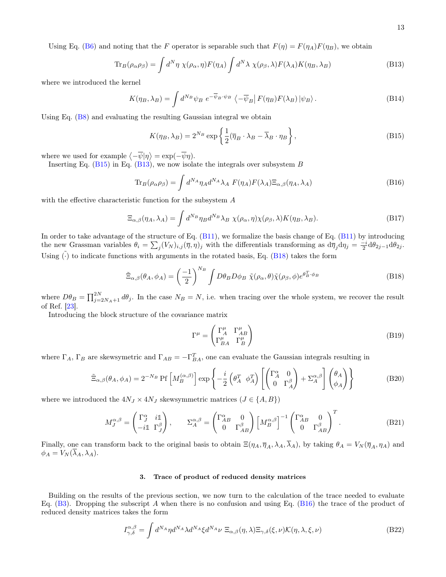Using Eq. [\(B6\)](#page-11-2) and noting that the F operator is separable such that  $F(\eta) = F(\eta_A)F(\eta_B)$ , we obtain

$$
\text{Tr}_B(\rho_\alpha \rho_\beta) = \int d^N \eta \ \chi(\rho_\alpha, \eta) F(\eta_A) \int d^N \lambda \ \chi(\rho_\beta, \lambda) F(\lambda_A) K(\eta_B, \lambda_B)
$$
 (B13)

where we introduced the kernel

$$
K(\eta_B, \lambda_B) = \int d^{N_B} \psi_B \ e^{-\overline{\psi}_B \cdot \psi_B} \left\langle -\overline{\psi}_B \middle| F(\eta_B) F(\lambda_B) \middle| \psi_B \right\rangle. \tag{B14}
$$

Using Eq. [\(B8\)](#page-11-5) and evaluating the resulting Gaussian integral we obtain

<span id="page-12-2"></span><span id="page-12-1"></span>
$$
K(\eta_B, \lambda_B) = 2^{N_B} \exp\left\{ \frac{1}{2} (\overline{\eta}_B \cdot \lambda_B - \overline{\lambda}_B \cdot \eta_B) \right\},\tag{B15}
$$

where we used for example  $\langle -\overline{\psi}|\eta \rangle = \exp(-\overline{\psi}\eta)$ .

Inserting Eq.  $(B15)$  in Eq.  $(B13)$ , we now isolate the integrals over subsystem B

<span id="page-12-0"></span>
$$
\text{Tr}_B(\rho_\alpha \rho_\beta) = \int d^{NA} \eta_A d^{NA} \lambda_A F(\eta_A) F(\lambda_A) \Xi_{\alpha,\beta}(\eta_A, \lambda_A)
$$
(B16)

with the effective characteristic function for the subsystem A

$$
\Xi_{\alpha,\beta}(\eta_A,\lambda_A) = \int d^{N_B} \eta_B d^{N_B} \lambda_B \ \chi(\rho_\alpha,\eta) \chi(\rho_\beta,\lambda) K(\eta_B,\lambda_B). \tag{B17}
$$

In order to take advantage of the structure of Eq. [\(B11\)](#page-11-6), we formalize the basis change of Eq. [\(B11\)](#page-11-6) by introducing the new Grassman variables  $\theta_i = \sum_j (V_N)_{i,j} (\overline{\eta}, \eta)_j$  with the differentials transforming as  $d\overline{\eta}_j d\eta_j = \frac{-i}{2} d\theta_{2j-1} d\theta_{2j}$ . Using  $(\cdot)$  to indicate functions with arguments in the rotated basis, Eq. [\(B18\)](#page-12-3) takes the form

<span id="page-12-3"></span>
$$
\tilde{\Xi}_{\alpha,\beta}(\theta_A,\phi_A) = \left(\frac{-1}{2}\right)^{N_B} \int D\theta_B D\phi_B \ \tilde{\chi}(\rho_\alpha,\theta) \tilde{\chi}(\rho_\beta,\phi) e^{\theta_B^T \cdot \phi_B} \tag{B18}
$$

where  $D\theta_B = \prod_{j=2N_A+1}^{2N} d\theta_j$ . In the case  $N_B = N$ , i.e. when tracing over the whole system, we recover the result of Ref. [\[23\]](#page-14-15).

Introducing the block structure of the covariance matrix

$$
\Gamma^{\mu} = \begin{pmatrix} \Gamma^{\mu}_{A} & \Gamma^{\mu}_{AB} \\ \Gamma^{\mu}_{BA} & \Gamma^{\mu}_{B} \end{pmatrix}
$$
 (B19)

where  $\Gamma_A$ ,  $\Gamma_B$  are skewsymetric and  $\Gamma_{AB} = -\Gamma_{BA}^T$ , one can evaluate the Gaussian integrals resulting in

<span id="page-12-4"></span>
$$
\tilde{\Xi}_{\alpha,\beta}(\theta_A,\phi_A) = 2^{-N_B} \text{Pf}\left[M_B^{(\alpha,\beta)}\right] \exp\left\{-\frac{i}{2} \left(\theta_A^T \phi_A^T\right) \left[\begin{pmatrix} \Gamma_A^{\alpha} & 0\\ 0 & \Gamma_A^{\beta} \end{pmatrix} + \Sigma_A^{\alpha,\beta}\right] \begin{pmatrix} \theta_A\\ \phi_A \end{pmatrix}\right\} \tag{B20}
$$

where we introduced the  $4N_J \times 4N_J$  skewsymmetric matrices  $(J \in \{A, B\})$ 

$$
M_J^{\alpha,\beta} = \begin{pmatrix} \Gamma_J^{\alpha} & i\mathbb{1} \\ -i\mathbb{1} & \Gamma_J^{\beta} \end{pmatrix}, \qquad \Sigma_A^{\alpha,\beta} = \begin{pmatrix} \Gamma_{AB}^{\alpha} & 0 \\ 0 & \Gamma_{AB}^{\beta} \end{pmatrix} \begin{bmatrix} M_B^{\alpha,\beta} \end{bmatrix}^{-1} \begin{pmatrix} \Gamma_{AB}^{\alpha} & 0 \\ 0 & \Gamma_{AB}^{\beta} \end{pmatrix}^T.
$$
 (B21)

Finally, one can transform back to the original basis to obtain  $\Xi(\eta_A, \overline{\eta}_A, \lambda_A, \overline{\lambda}_A)$ , by taking  $\theta_A = V_N(\overline{\eta}_A, \eta_A)$  and  $\phi_A = V_N(\overline{\lambda}_A, \lambda_A).$ 

# 3. Trace of product of reduced density matrices

Building on the results of the previous section, we now turn to the calculation of the trace needed to evaluate Eq.  $(B3)$ . Dropping the subscript A when there is no confusion and using Eq.  $(B16)$  the trace of the product of reduced density matrices takes the form

$$
I_{\gamma,\delta}^{\alpha,\beta} = \int d^{N_A} \eta d^{N_A} \lambda d^{N_A} \xi d^{N_A} \nu \ \Xi_{\alpha,\beta}(\eta,\lambda) \Xi_{\gamma,\delta}(\xi,\nu) \mathcal{K}(\eta,\lambda,\xi,\nu)
$$
(B22)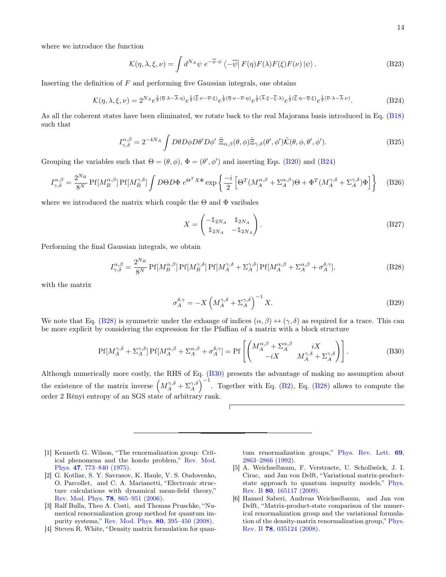where we introduce the function

$$
\mathcal{K}(\eta, \lambda, \xi, \nu) = \int d^{N_A} \psi \ e^{-\overline{\psi} \cdot \psi} \left\langle -\overline{\psi} \right| F(\eta) F(\lambda) F(\xi) F(\nu) \left| \psi \right\rangle. \tag{B23}
$$

Inserting the definition of  $F$  and performing five Gaussian integrals, one obtains

<span id="page-13-7"></span>
$$
\mathcal{K}(\eta,\lambda,\xi,\nu) = 2^{N_A} e^{\frac{1}{2}(\overline{\eta}\cdot\lambda - \overline{\lambda}\cdot\eta)} e^{\frac{1}{2}(\overline{\xi}\cdot\nu - \overline{\nu}\cdot\xi)} e^{\frac{1}{2}(\overline{\eta}\cdot\nu - \overline{\nu}\cdot\eta)} e^{\frac{1}{2}(\overline{\lambda}\cdot\xi - \overline{\xi}\cdot\lambda)} e^{\frac{1}{2}(\overline{\xi}\cdot\eta - \overline{\eta}\cdot\xi)} e^{\frac{1}{2}(\overline{\nu}\cdot\lambda - \overline{\lambda}\cdot\nu)}.
$$
(B24)

As all the coherent states have been eliminated, we rotate back to the real Majorana basis introduced in Eq. [\(B18\)](#page-12-3) such that

$$
I_{\gamma,\delta}^{\alpha,\beta} = 2^{-4N_A} \int D\theta D\phi D\theta' D\phi' \tilde{\Xi}_{\alpha,\beta}(\theta,\phi) \tilde{\Xi}_{\gamma,\delta}(\theta',\phi') \tilde{\mathcal{K}}(\theta,\phi,\theta',\phi'). \tag{B25}
$$

Grouping the variables such that  $\Theta = (\theta, \phi), \Phi = (\theta', \phi')$  and inserting Eqs. [\(B20\)](#page-12-4) and [\(B24\)](#page-13-7)

$$
I_{\gamma,\delta}^{\alpha,\beta} = \frac{2^{N_B}}{8^N} \Pr[M_B^{\alpha,\beta}] \Pr[M_B^{\gamma,\delta}] \int D\Theta D\Phi \ e^{\Theta^T X \Phi} \exp\left\{ \frac{-i}{2} \left[ \Theta^T (M_A^{\alpha,\beta} + \Sigma_A^{\alpha,\beta}) \Theta + \Phi^T (M_A^{\gamma,\delta} + \Sigma_A^{\gamma,\delta}) \Phi \right] \right\} \tag{B26}
$$

where we introduced the matrix which couple the  $\Theta$  and  $\Phi$  varibales

$$
X = \begin{pmatrix} -\mathbb{1}_{2N_A} & \mathbb{1}_{2N_A} \\ \mathbb{1}_{2N_A} & -\mathbb{1}_{2N_A} \end{pmatrix} .
$$
 (B27)

Performing the final Gaussian integrals, we obtain

<span id="page-13-6"></span>
$$
I_{\gamma,\delta}^{\alpha,\beta} = \frac{2^{N_B}}{8^N} \Pr[M_B^{\alpha,\beta}] \Pr[M_B^{\gamma,\delta}] \Pr[M_A^{\gamma,\delta} + \Sigma_A^{\gamma,\delta}] \Pr[M_A^{\alpha,\beta} + \Sigma_A^{\alpha,\beta} + \sigma_A^{\delta,\gamma}], \tag{B28}
$$

with the matrix

$$
\sigma_A^{\delta,\gamma} = -X \left( M_A^{\gamma,\delta} + \Sigma_A^{\gamma,\delta} \right)^{-1} X. \tag{B29}
$$

We note that Eq. [\(B28\)](#page-13-6) is symmetric under the exhange of indices  $(\alpha, \beta) \leftrightarrow (\gamma, \delta)$  as required for a trace. This can be more explicit by considering the expression for the Pfaffian of a matrix with a block structure

<span id="page-13-8"></span>
$$
Pf[M_A^{\gamma,\delta} + \Sigma_A^{\gamma,\delta}] Pf[M_A^{\alpha,\beta} + \Sigma_A^{\alpha,\beta} + \sigma_A^{\delta,\gamma}] = Pf\left[\begin{pmatrix} M_A^{\alpha,\beta} + \Sigma_A^{\alpha,\beta} & iX\\ -iX & M_A^{\gamma,\delta} + \Sigma_A^{\gamma,\delta} \end{pmatrix}\right].
$$
 (B30)

Although numerically more costly, the RHS of Eq. [\(B30\)](#page-13-8) presents the advantage of making no assumption about the existence of the matrix inverse  $(M_A^{\gamma, \delta} + \Sigma_A^{\gamma, \delta})^{-1}$ . Together with Eq. [\(B2\)](#page-11-8), Eq. [\(B28\)](#page-13-6) allows to compute the order 2 Rényi entropy of an SGS state of arbitrary rank.

- <span id="page-13-0"></span>[1] Kenneth G. Wilson, "The renormalization group: Critical phenomena and the kondo problem," [Rev. Mod.](http://dx.doi.org/10.1103/RevModPhys.47.773) Phys. 47[, 773–840 \(1975\).](http://dx.doi.org/10.1103/RevModPhys.47.773)
- <span id="page-13-1"></span>[2] G. Kotliar, S. Y. Savrasov, K. Haule, V. S. Oudovenko, O. Parcollet, and C. A. Marianetti, "Electronic structure calculations with dynamical mean-field theory," Rev. Mod. Phys. 78[, 865–951 \(2006\).](http://dx.doi.org/10.1103/RevModPhys.78.865)
- <span id="page-13-2"></span>[3] Ralf Bulla, Theo A. Costi, and Thomas Pruschke, "Numerical renormalization group method for quantum impurity systems," [Rev. Mod. Phys.](http://dx.doi.org/ 10.1103/RevModPhys.80.395) 80, 395–450 (2008).
- <span id="page-13-3"></span>[4] Steven R. White, "Density matrix formulation for quan-

tum renormalization groups," [Phys. Rev. Lett.](http://dx.doi.org/10.1103/PhysRevLett.69.2863) 69, [2863–2866 \(1992\).](http://dx.doi.org/10.1103/PhysRevLett.69.2863)

- <span id="page-13-4"></span>[5] A. Weichselbaum, F. Verstraete, U. Schollwöck, J. I. Cirac, and Jan von Delft, "Variational matrix-productstate approach to quantum impurity models," [Phys.](http://dx.doi.org/ 10.1103/PhysRevB.80.165117) Rev. B 80[, 165117 \(2009\).](http://dx.doi.org/ 10.1103/PhysRevB.80.165117)
- <span id="page-13-5"></span>[6] Hamed Saberi, Andreas Weichselbaum, and Jan von Delft, "Matrix-product-state comparison of the numerical renormalization group and the variational formulation of the density-matrix renormalization group," [Phys.](http://dx.doi.org/10.1103/PhysRevB.78.035124) Rev. B 78[, 035124 \(2008\).](http://dx.doi.org/10.1103/PhysRevB.78.035124)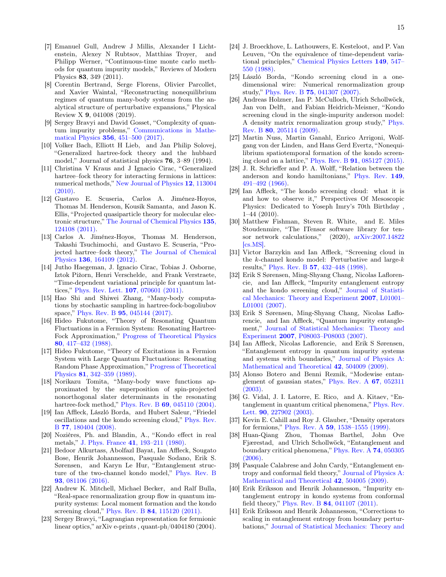- <span id="page-14-0"></span>[7] Emanuel Gull, Andrew J Millis, Alexander I Lichtenstein, Alexey N Rubtsov, Matthias Troyer, and Philipp Werner, "Continuous-time monte carlo methods for quantum impurity models," Reviews of Modern Physics 83, 349 (2011).
- <span id="page-14-1"></span>[8] Corentin Bertrand, Serge Florens, Olivier Parcollet, and Xavier Waintal, "Reconstructing nonequilibrium regimes of quantum many-body systems from the analytical structure of perturbative expansions," Physical Review X 9, 041008 (2019).
- <span id="page-14-2"></span>[9] Sergey Bravyi and David Gosset, "Complexity of quantum impurity problems," [Communications in Mathe](http://dx.doi.org/10.1007/s00220-017-2976-9)matical Physics 356[, 451–500 \(2017\).](http://dx.doi.org/10.1007/s00220-017-2976-9)
- <span id="page-14-3"></span>[10] Volker Bach, Elliott H Lieb, and Jan Philip Solovej, "Generalized hartree-fock theory and the hubbard model," Journal of statistical physics 76, 3–89 (1994).
- <span id="page-14-4"></span>[11] Christina V Kraus and J Ignacio Cirac, "Generalized hartree–fock theory for interacting fermions in lattices: numerical methods," [New Journal of Physics](http://dx.doi.org/ 10.1088/1367-2630/12/11/113004) 12, 113004 [\(2010\).](http://dx.doi.org/ 10.1088/1367-2630/12/11/113004)
- <span id="page-14-5"></span>[12] Gustavo E. Scuseria, Carlos A. Jiménez-Hoyos, Thomas M. Henderson, Kousik Samanta, and Jason K. Ellis, "Projected quasiparticle theory for molecular electronic structure," [The Journal of Chemical Physics](http://dx.doi.org/10.1063/1.3643338) 135, [124108 \(2011\).](http://dx.doi.org/10.1063/1.3643338)
- <span id="page-14-6"></span>[13] Carlos A. Jiménez-Hoyos, Thomas M. Henderson, Takashi Tsuchimochi, and Gustavo E. Scuseria, "Projected hartree–fock theory," [The Journal of Chemical](http://dx.doi.org/10.1063/1.4705280) Physics 136[, 164109 \(2012\).](http://dx.doi.org/10.1063/1.4705280)
- <span id="page-14-7"></span>[14] Jutho Haegeman, J. Ignacio Cirac, Tobias J. Osborne, Iztok Pižorn, Henri Verschelde, and Frank Verstraete, "Time-dependent variational principle for quantum lattices," [Phys. Rev. Lett.](http://dx.doi.org/10.1103/PhysRevLett.107.070601) 107, 070601 (2011).
- <span id="page-14-8"></span>[15] Hao Shi and Shiwei Zhang, "Many-body computations by stochastic sampling in hartree-fock-bogoliubov space," Phys. Rev. B **95**[, 045144 \(2017\).](http://dx.doi.org/10.1103/PhysRevB.95.045144)
- <span id="page-14-9"></span>[16] Hideo Fukutome, "Theory of Resonating Quantum Fluctuations in a Fermion System: Resonating Hartree-Fock Approximation," [Progress of Theoretical Physics](http://dx.doi.org/10.1143/PTP.80.417) 80[, 417–432 \(1988\).](http://dx.doi.org/10.1143/PTP.80.417)
- [17] Hideo Fukutome, "Theory of Excitations in a Fermion System with Large Quantum Fluctuations: Resonating Random Phase Approximation," [Progress of Theoretical](http://dx.doi.org/10.1143/PTP.81.342) Physics 81[, 342–359 \(1989\).](http://dx.doi.org/10.1143/PTP.81.342)
- <span id="page-14-10"></span>[18] Norikazu Tomita, "Many-body wave functions approximated by the superposition of spin-projected nonorthogonal slater determinants in the resonating hartree-fock method," Phys. Rev. B 69[, 045110 \(2004\).](http://dx.doi.org/10.1103/PhysRevB.69.045110)
- <span id="page-14-11"></span>[19] Ian Affleck, László Borda, and Hubert Saleur, "Friedel oscillations and the kondo screening cloud," [Phys. Rev.](http://dx.doi.org/ 10.1103/PhysRevB.77.180404) B 77[, 180404 \(2008\).](http://dx.doi.org/ 10.1103/PhysRevB.77.180404)
- <span id="page-14-12"></span>[20] Nozières, Ph. and Blandin, A., "Kondo effect in real metals," J. Phys. France 41[, 193–211 \(1980\).](http://dx.doi.org/ 10.1051/jphys:01980004103019300)
- <span id="page-14-13"></span>[21] Bedoor Alkurtass, Abolfazl Bayat, Ian Affleck, Sougato Bose, Henrik Johannesson, Pasquale Sodano, Erik S. Sørensen, and Karyn Le Hur, "Entanglement structure of the two-channel kondo model," [Phys. Rev. B](http://dx.doi.org/10.1103/PhysRevB.93.081106) 93[, 081106 \(2016\).](http://dx.doi.org/10.1103/PhysRevB.93.081106)
- <span id="page-14-14"></span>[22] Andrew K. Mitchell, Michael Becker, and Ralf Bulla, "Real-space renormalization group flow in quantum impurity systems: Local moment formation and the kondo screening cloud," Phys. Rev. B 84[, 115120 \(2011\).](http://dx.doi.org/ 10.1103/PhysRevB.84.115120)
- <span id="page-14-15"></span>[23] Sergey Bravyi, "Lagrangian representation for fermionic linear optics," arXiv e-prints , quant-ph/0404180 (2004).
- <span id="page-14-16"></span>[24] J. Broeckhove, L. Lathouwers, E. Kesteloot, and P. Van Leuven, "On the equivalence of time-dependent variational principles," [Chemical Physics Letters](http://dx.doi.org/ https://doi.org/10.1016/0009-2614(88)80380-4) 149, 547– [550 \(1988\).](http://dx.doi.org/ https://doi.org/10.1016/0009-2614(88)80380-4)
- <span id="page-14-17"></span>[25] László Borda, "Kondo screening cloud in a onedimensional wire: Numerical renormalization group study," Phys. Rev. B 75[, 041307 \(2007\).](http://dx.doi.org/10.1103/PhysRevB.75.041307)
- <span id="page-14-18"></span>[26] Andreas Holzner, Ian P. McCulloch, Ulrich Schollwöck, Jan von Delft, and Fabian Heidrich-Meisner, "Kondo screening cloud in the single-impurity anderson model: A density matrix renormalization group study," [Phys.](http://dx.doi.org/10.1103/PhysRevB.80.205114) Rev. B 80[, 205114 \(2009\).](http://dx.doi.org/10.1103/PhysRevB.80.205114)
- <span id="page-14-19"></span>[27] Martin Nuss, Martin Ganahl, Enrico Arrigoni, Wolfgang von der Linden, and Hans Gerd Evertz, "Nonequilibrium spatiotemporal formation of the kondo screening cloud on a lattice," Phys. Rev. B 91[, 085127 \(2015\).](http://dx.doi.org/10.1103/PhysRevB.91.085127)
- <span id="page-14-20"></span>[28] J. R. Schrieffer and P. A. Wolff, "Relation between the anderson and kondo hamiltonians," [Phys. Rev.](http://dx.doi.org/ 10.1103/PhysRev.149.491) 149, [491–492 \(1966\).](http://dx.doi.org/ 10.1103/PhysRev.149.491)
- <span id="page-14-21"></span>[29] Ian Affleck, "The kondo screening cloud: what it is and how to observe it," Perspectives Of Mesoscopic Physics: Dedicated to Yoseph Imry's 70th Birthday , 1–44 (2010).
- <span id="page-14-22"></span>[30] Matthew Fishman, Steven R. White, and E. Miles Stoudenmire, "The ITensor software library for tensor network calculations," (2020), [arXiv:2007.14822](http://arxiv.org/abs/2007.14822) [\[cs.MS\].](http://arxiv.org/abs/2007.14822)
- <span id="page-14-23"></span>[31] Victor Barzykin and Ian Affleck, "Screening cloud in the k-channel kondo model: Perturbative and large-k results," Phys. Rev. B 57[, 432–448 \(1998\).](http://dx.doi.org/10.1103/PhysRevB.57.432)
- <span id="page-14-24"></span>[32] Erik S Sørensen, Ming-Shyang Chang, Nicolas Laflorencie, and Ian Affleck, "Impurity entanglement entropy and the kondo screening cloud," [Journal of Statisti](http://dx.doi.org/ 10.1088/1742-5468/2007/01/l01001)[cal Mechanics: Theory and Experiment](http://dx.doi.org/ 10.1088/1742-5468/2007/01/l01001) 2007, L01001– [L01001 \(2007\).](http://dx.doi.org/ 10.1088/1742-5468/2007/01/l01001)
- <span id="page-14-33"></span>[33] Erik S Sørensen, Ming-Shyang Chang, Nicolas Laflorencie, and Ian Affleck, "Quantum impurity entanglement," [Journal of Statistical Mechanics: Theory and](http://dx.doi.org/10.1088/1742-5468/2007/08/p08003) Experiment 2007[, P08003–P08003 \(2007\).](http://dx.doi.org/10.1088/1742-5468/2007/08/p08003)
- <span id="page-14-25"></span>[34] Ian Affleck, Nicolas Laflorencie, and Erik S Sørensen, "Entanglement entropy in quantum impurity systems and systems with boundaries," [Journal of Physics A:](http://dx.doi.org/10.1088/1751-8113/42/50/504009) [Mathematical and Theoretical](http://dx.doi.org/10.1088/1751-8113/42/50/504009) 42, 504009 (2009).
- <span id="page-14-26"></span>[35] Alonso Botero and Benni Reznik, "Modewise entanglement of gaussian states," [Phys. Rev. A](http://dx.doi.org/ 10.1103/PhysRevA.67.052311) 67, 052311 [\(2003\).](http://dx.doi.org/ 10.1103/PhysRevA.67.052311)
- <span id="page-14-27"></span>[36] G. Vidal, J. I. Latorre, E. Rico, and A. Kitaev, "Entanglement in quantum critical phenomena," [Phys. Rev.](http://dx.doi.org/10.1103/PhysRevLett.90.227902) Lett. 90[, 227902 \(2003\).](http://dx.doi.org/10.1103/PhysRevLett.90.227902)
- <span id="page-14-28"></span>[37] Kevin E. Cahill and Roy J. Glauber, "Density operators for fermions," Phys. Rev. A 59[, 1538–1555 \(1999\).](http://dx.doi.org/ 10.1103/PhysRevA.59.1538)
- <span id="page-14-29"></span>[38] Huan-Qiang Zhou, Thomas Barthel, John Ove Fjærestad, and Ulrich Schollwöck, "Entanglement and boundary critical phenomena," [Phys. Rev. A](http://dx.doi.org/ 10.1103/PhysRevA.74.050305) 74, 050305 [\(2006\).](http://dx.doi.org/ 10.1103/PhysRevA.74.050305)
- <span id="page-14-30"></span>[39] Pasquale Calabrese and John Cardy, "Entanglement entropy and conformal field theory," [Journal of Physics A:](http://dx.doi.org/ 10.1088/1751-8113/42/50/504005) [Mathematical and Theoretical](http://dx.doi.org/ 10.1088/1751-8113/42/50/504005) 42, 504005 (2009).
- <span id="page-14-31"></span>[40] Erik Eriksson and Henrik Johannesson, "Impurity entanglement entropy in kondo systems from conformal field theory," Phys. Rev. B 84[, 041107 \(2011\).](http://dx.doi.org/10.1103/PhysRevB.84.041107)
- <span id="page-14-32"></span>[41] Erik Eriksson and Henrik Johannesson, "Corrections to scaling in entanglement entropy from boundary perturbations," [Journal of Statistical Mechanics: Theory and](http://dx.doi.org/10.1088/1742-5468/2011/02/p02008)